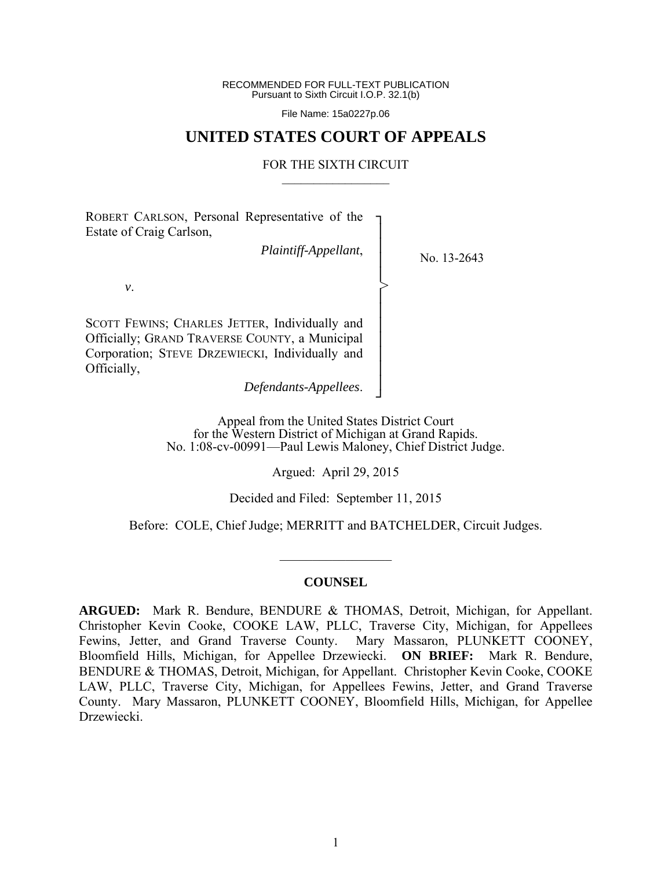RECOMMENDED FOR FULL-TEXT PUBLICATION Pursuant to Sixth Circuit I.O.P. 32.1(b)

File Name: 15a0227p.06

## **UNITED STATES COURT OF APPEALS**

#### FOR THE SIXTH CIRCUIT  $\mathcal{L}_\text{max}$

┐ │ │ │ │ │ │ │ │ │ │ │ ┘

>

ROBERT CARLSON, Personal Representative of the Estate of Craig Carlson,

*Plaintiff-Appellant*,

No. 13-2643

*v*.

SCOTT FEWINS; CHARLES JETTER, Individually and Officially; GRAND TRAVERSE COUNTY, a Municipal Corporation; STEVE DRZEWIECKI, Individually and Officially,

*Defendants-Appellees*.

Appeal from the United States District Court for the Western District of Michigan at Grand Rapids. No. 1:08-cv-00991—Paul Lewis Maloney, Chief District Judge.

Argued: April 29, 2015

Decided and Filed: September 11, 2015

Before: COLE, Chief Judge; MERRITT and BATCHELDER, Circuit Judges.

#### **COUNSEL**

 $\frac{1}{2}$ 

**ARGUED:** Mark R. Bendure, BENDURE & THOMAS, Detroit, Michigan, for Appellant. Christopher Kevin Cooke, COOKE LAW, PLLC, Traverse City, Michigan, for Appellees Fewins, Jetter, and Grand Traverse County. Mary Massaron, PLUNKETT COONEY, Bloomfield Hills, Michigan, for Appellee Drzewiecki. **ON BRIEF:** Mark R. Bendure, BENDURE & THOMAS, Detroit, Michigan, for Appellant. Christopher Kevin Cooke, COOKE LAW, PLLC, Traverse City, Michigan, for Appellees Fewins, Jetter, and Grand Traverse County. Mary Massaron, PLUNKETT COONEY, Bloomfield Hills, Michigan, for Appellee Drzewiecki.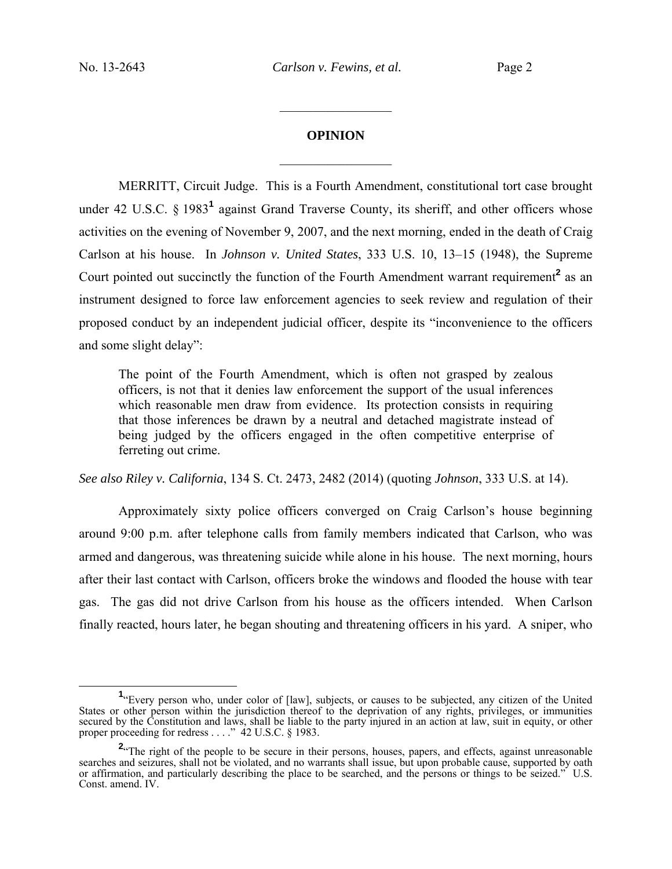# **OPINION**  $\frac{1}{2}$

 $\frac{1}{2}$  ,  $\frac{1}{2}$  ,  $\frac{1}{2}$  ,  $\frac{1}{2}$  ,  $\frac{1}{2}$  ,  $\frac{1}{2}$  ,  $\frac{1}{2}$  ,  $\frac{1}{2}$  ,  $\frac{1}{2}$ 

 MERRITT, Circuit Judge. This is a Fourth Amendment, constitutional tort case brought under 42 U.S.C. § 1983<sup>1</sup> against Grand Traverse County, its sheriff, and other officers whose activities on the evening of November 9, 2007, and the next morning, ended in the death of Craig Carlson at his house. In *Johnson v. United States*, 333 U.S. 10, 13–15 (1948), the Supreme Court pointed out succinctly the function of the Fourth Amendment warrant requirement<sup>2</sup> as an instrument designed to force law enforcement agencies to seek review and regulation of their proposed conduct by an independent judicial officer, despite its "inconvenience to the officers and some slight delay":

The point of the Fourth Amendment, which is often not grasped by zealous officers, is not that it denies law enforcement the support of the usual inferences which reasonable men draw from evidence. Its protection consists in requiring that those inferences be drawn by a neutral and detached magistrate instead of being judged by the officers engaged in the often competitive enterprise of ferreting out crime.

*See also Riley v. California*, 134 S. Ct. 2473, 2482 (2014) (quoting *Johnson*, 333 U.S. at 14).

 Approximately sixty police officers converged on Craig Carlson's house beginning around 9:00 p.m. after telephone calls from family members indicated that Carlson, who was armed and dangerous, was threatening suicide while alone in his house. The next morning, hours after their last contact with Carlson, officers broke the windows and flooded the house with tear gas. The gas did not drive Carlson from his house as the officers intended. When Carlson finally reacted, hours later, he began shouting and threatening officers in his yard. A sniper, who

**<sup>1</sup>** <sup>1</sup>"Every person who, under color of [law], subjects, or causes to be subjected, any citizen of the United States or other person within the jurisdiction thereof to the deprivation of any rights, privileges, or immunities secured by the Constitution and laws, shall be liable to the party injured in an action at law, suit in equity, or other proper proceeding for redress . . . ." 42 U.S.C. § 1983.

<sup>&</sup>lt;sup>2</sup> The right of the people to be secure in their persons, houses, papers, and effects, against unreasonable searches and seizures, shall not be violated, and no warrants shall issue, but upon probable cause, supported by oath or affirmation, and particularly describing the place to be searched, and the persons or things to be seized." U.S. Const. amend. IV.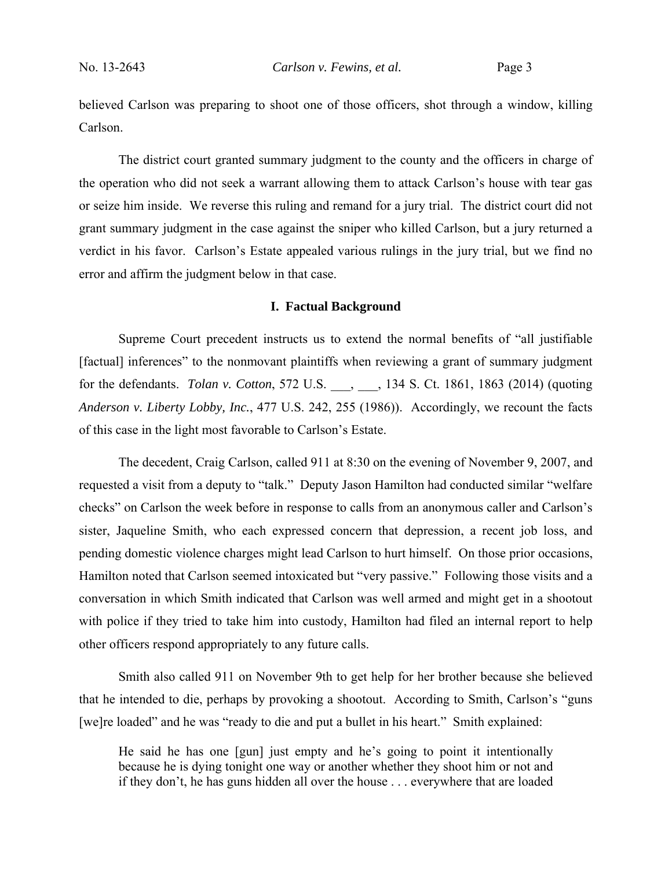believed Carlson was preparing to shoot one of those officers, shot through a window, killing Carlson.

The district court granted summary judgment to the county and the officers in charge of the operation who did not seek a warrant allowing them to attack Carlson's house with tear gas or seize him inside. We reverse this ruling and remand for a jury trial. The district court did not grant summary judgment in the case against the sniper who killed Carlson, but a jury returned a verdict in his favor. Carlson's Estate appealed various rulings in the jury trial, but we find no error and affirm the judgment below in that case.

#### **I. Factual Background**

Supreme Court precedent instructs us to extend the normal benefits of "all justifiable [factual] inferences" to the nonmovant plaintiffs when reviewing a grant of summary judgment for the defendants. *Tolan v. Cotton*, 572 U.S. \_\_\_, \_\_\_, 134 S. Ct. 1861, 1863 (2014) (quoting *Anderson v. Liberty Lobby, Inc.*, 477 U.S. 242, 255 (1986)). Accordingly, we recount the facts of this case in the light most favorable to Carlson's Estate.

The decedent, Craig Carlson, called 911 at 8:30 on the evening of November 9, 2007, and requested a visit from a deputy to "talk." Deputy Jason Hamilton had conducted similar "welfare checks" on Carlson the week before in response to calls from an anonymous caller and Carlson's sister, Jaqueline Smith, who each expressed concern that depression, a recent job loss, and pending domestic violence charges might lead Carlson to hurt himself. On those prior occasions, Hamilton noted that Carlson seemed intoxicated but "very passive." Following those visits and a conversation in which Smith indicated that Carlson was well armed and might get in a shootout with police if they tried to take him into custody, Hamilton had filed an internal report to help other officers respond appropriately to any future calls.

Smith also called 911 on November 9th to get help for her brother because she believed that he intended to die, perhaps by provoking a shootout. According to Smith, Carlson's "guns [we]re loaded" and he was "ready to die and put a bullet in his heart." Smith explained:

He said he has one [gun] just empty and he's going to point it intentionally because he is dying tonight one way or another whether they shoot him or not and if they don't, he has guns hidden all over the house . . . everywhere that are loaded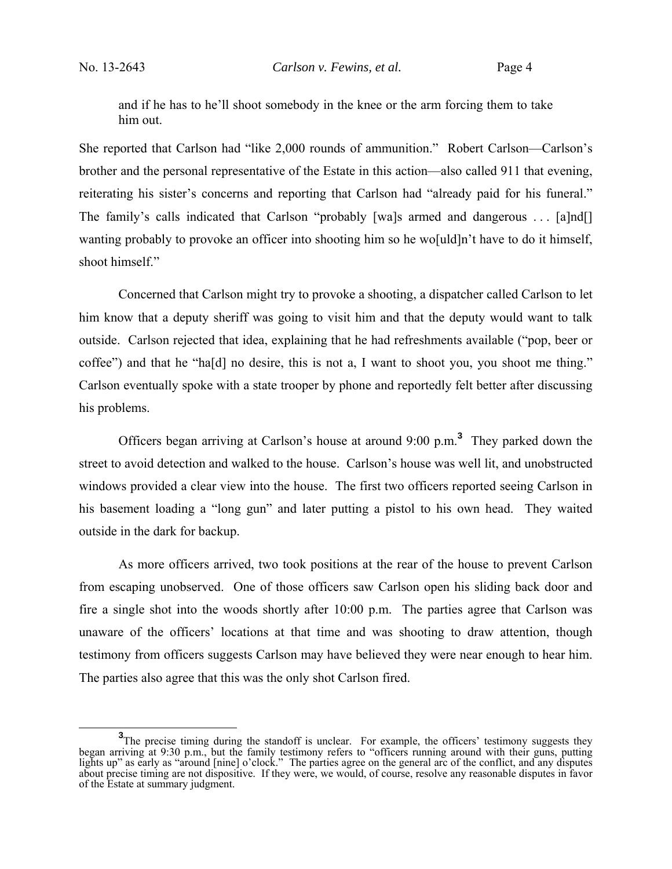and if he has to he'll shoot somebody in the knee or the arm forcing them to take him out.

She reported that Carlson had "like 2,000 rounds of ammunition." Robert Carlson—Carlson's brother and the personal representative of the Estate in this action—also called 911 that evening, reiterating his sister's concerns and reporting that Carlson had "already paid for his funeral." The family's calls indicated that Carlson "probably [wa]s armed and dangerous . . . [a]nd[] wanting probably to provoke an officer into shooting him so he wo[uld]n't have to do it himself, shoot himself."

Concerned that Carlson might try to provoke a shooting, a dispatcher called Carlson to let him know that a deputy sheriff was going to visit him and that the deputy would want to talk outside. Carlson rejected that idea, explaining that he had refreshments available ("pop, beer or coffee") and that he "ha[d] no desire, this is not a, I want to shoot you, you shoot me thing." Carlson eventually spoke with a state trooper by phone and reportedly felt better after discussing his problems.

Officers began arriving at Carlson's house at around 9:00 p.m.**<sup>3</sup>** They parked down the street to avoid detection and walked to the house. Carlson's house was well lit, and unobstructed windows provided a clear view into the house. The first two officers reported seeing Carlson in his basement loading a "long gun" and later putting a pistol to his own head. They waited outside in the dark for backup.

As more officers arrived, two took positions at the rear of the house to prevent Carlson from escaping unobserved. One of those officers saw Carlson open his sliding back door and fire a single shot into the woods shortly after 10:00 p.m. The parties agree that Carlson was unaware of the officers' locations at that time and was shooting to draw attention, though testimony from officers suggests Carlson may have believed they were near enough to hear him. The parties also agree that this was the only shot Carlson fired.

**<sup>3</sup>** <sup>3</sup>The precise timing during the standoff is unclear. For example, the officers' testimony suggests they began arriving at 9:30 p.m., but the family testimony refers to "officers running around with their guns, putting lights up" as early as "around [nine] o'clock." The parties agree on the general arc of the conflict, and any disputes about precise timing are not dispositive. If they were, we would, of course, resolve any reasonable disputes in favor of the Estate at summary judgment.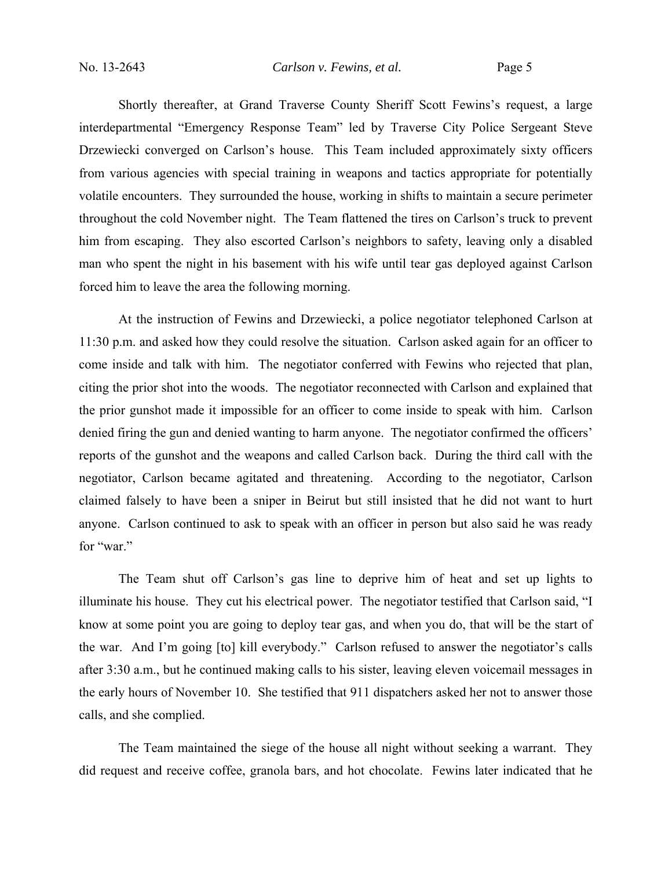Shortly thereafter, at Grand Traverse County Sheriff Scott Fewins's request, a large interdepartmental "Emergency Response Team" led by Traverse City Police Sergeant Steve Drzewiecki converged on Carlson's house. This Team included approximately sixty officers from various agencies with special training in weapons and tactics appropriate for potentially volatile encounters. They surrounded the house, working in shifts to maintain a secure perimeter throughout the cold November night. The Team flattened the tires on Carlson's truck to prevent him from escaping. They also escorted Carlson's neighbors to safety, leaving only a disabled man who spent the night in his basement with his wife until tear gas deployed against Carlson forced him to leave the area the following morning.

At the instruction of Fewins and Drzewiecki, a police negotiator telephoned Carlson at 11:30 p.m. and asked how they could resolve the situation. Carlson asked again for an officer to come inside and talk with him. The negotiator conferred with Fewins who rejected that plan, citing the prior shot into the woods. The negotiator reconnected with Carlson and explained that the prior gunshot made it impossible for an officer to come inside to speak with him. Carlson denied firing the gun and denied wanting to harm anyone. The negotiator confirmed the officers' reports of the gunshot and the weapons and called Carlson back. During the third call with the negotiator, Carlson became agitated and threatening. According to the negotiator, Carlson claimed falsely to have been a sniper in Beirut but still insisted that he did not want to hurt anyone. Carlson continued to ask to speak with an officer in person but also said he was ready for "war."

The Team shut off Carlson's gas line to deprive him of heat and set up lights to illuminate his house. They cut his electrical power. The negotiator testified that Carlson said, "I know at some point you are going to deploy tear gas, and when you do, that will be the start of the war. And I'm going [to] kill everybody." Carlson refused to answer the negotiator's calls after 3:30 a.m., but he continued making calls to his sister, leaving eleven voicemail messages in the early hours of November 10. She testified that 911 dispatchers asked her not to answer those calls, and she complied.

 The Team maintained the siege of the house all night without seeking a warrant. They did request and receive coffee, granola bars, and hot chocolate. Fewins later indicated that he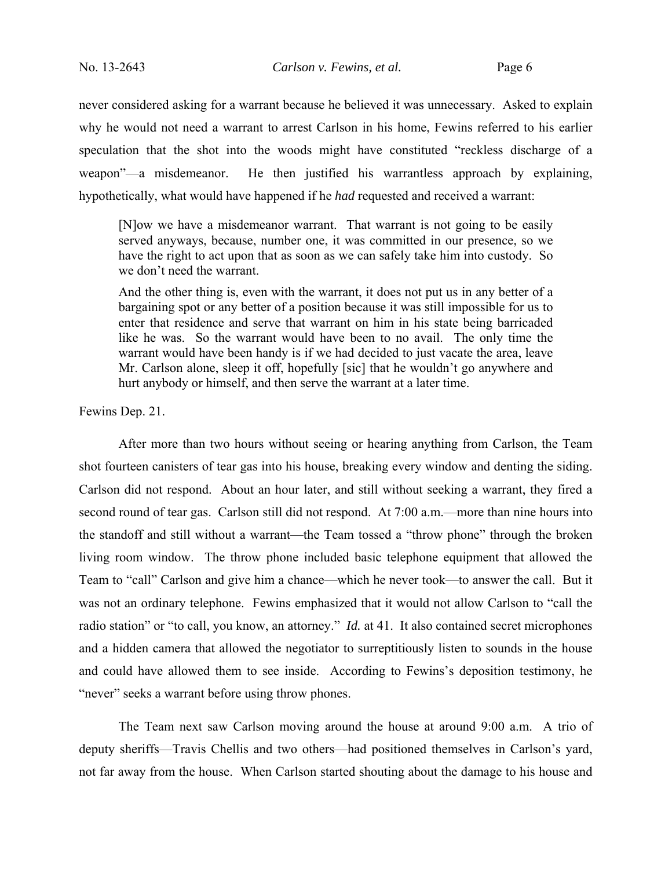never considered asking for a warrant because he believed it was unnecessary. Asked to explain why he would not need a warrant to arrest Carlson in his home, Fewins referred to his earlier speculation that the shot into the woods might have constituted "reckless discharge of a weapon"—a misdemeanor. He then justified his warrantless approach by explaining, hypothetically, what would have happened if he *had* requested and received a warrant:

[N]ow we have a misdemeanor warrant. That warrant is not going to be easily served anyways, because, number one, it was committed in our presence, so we have the right to act upon that as soon as we can safely take him into custody. So we don't need the warrant.

And the other thing is, even with the warrant, it does not put us in any better of a bargaining spot or any better of a position because it was still impossible for us to enter that residence and serve that warrant on him in his state being barricaded like he was. So the warrant would have been to no avail. The only time the warrant would have been handy is if we had decided to just vacate the area, leave Mr. Carlson alone, sleep it off, hopefully [sic] that he wouldn't go anywhere and hurt anybody or himself, and then serve the warrant at a later time.

Fewins Dep. 21.

After more than two hours without seeing or hearing anything from Carlson, the Team shot fourteen canisters of tear gas into his house, breaking every window and denting the siding. Carlson did not respond. About an hour later, and still without seeking a warrant, they fired a second round of tear gas. Carlson still did not respond. At 7:00 a.m.—more than nine hours into the standoff and still without a warrant—the Team tossed a "throw phone" through the broken living room window. The throw phone included basic telephone equipment that allowed the Team to "call" Carlson and give him a chance—which he never took—to answer the call. But it was not an ordinary telephone. Fewins emphasized that it would not allow Carlson to "call the radio station" or "to call, you know, an attorney." *Id.* at 41. It also contained secret microphones and a hidden camera that allowed the negotiator to surreptitiously listen to sounds in the house and could have allowed them to see inside. According to Fewins's deposition testimony, he "never" seeks a warrant before using throw phones.

 The Team next saw Carlson moving around the house at around 9:00 a.m. A trio of deputy sheriffs—Travis Chellis and two others—had positioned themselves in Carlson's yard, not far away from the house. When Carlson started shouting about the damage to his house and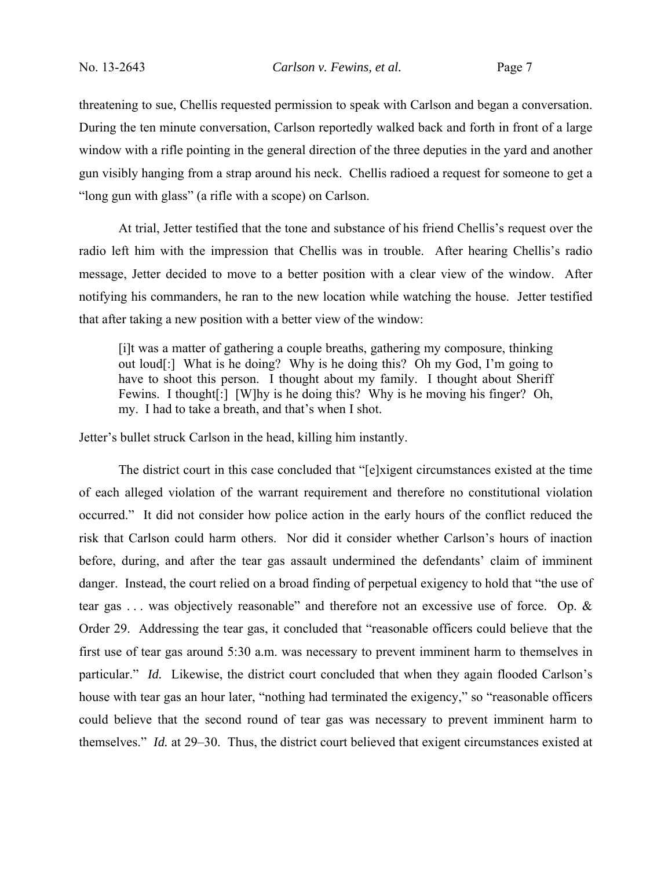threatening to sue, Chellis requested permission to speak with Carlson and began a conversation. During the ten minute conversation, Carlson reportedly walked back and forth in front of a large window with a rifle pointing in the general direction of the three deputies in the yard and another gun visibly hanging from a strap around his neck. Chellis radioed a request for someone to get a "long gun with glass" (a rifle with a scope) on Carlson.

 At trial, Jetter testified that the tone and substance of his friend Chellis's request over the radio left him with the impression that Chellis was in trouble. After hearing Chellis's radio message, Jetter decided to move to a better position with a clear view of the window. After notifying his commanders, he ran to the new location while watching the house. Jetter testified that after taking a new position with a better view of the window:

[i]t was a matter of gathering a couple breaths, gathering my composure, thinking out loud[:] What is he doing? Why is he doing this? Oh my God, I'm going to have to shoot this person. I thought about my family. I thought about Sheriff Fewins. I thought<sup>[:]</sup> [W]hy is he doing this? Why is he moving his finger? Oh, my. I had to take a breath, and that's when I shot.

Jetter's bullet struck Carlson in the head, killing him instantly.

The district court in this case concluded that "[e]xigent circumstances existed at the time of each alleged violation of the warrant requirement and therefore no constitutional violation occurred." It did not consider how police action in the early hours of the conflict reduced the risk that Carlson could harm others. Nor did it consider whether Carlson's hours of inaction before, during, and after the tear gas assault undermined the defendants' claim of imminent danger. Instead, the court relied on a broad finding of perpetual exigency to hold that "the use of tear gas . . . was objectively reasonable" and therefore not an excessive use of force. Op. & Order 29. Addressing the tear gas, it concluded that "reasonable officers could believe that the first use of tear gas around 5:30 a.m. was necessary to prevent imminent harm to themselves in particular." *Id.* Likewise, the district court concluded that when they again flooded Carlson's house with tear gas an hour later, "nothing had terminated the exigency," so "reasonable officers could believe that the second round of tear gas was necessary to prevent imminent harm to themselves." *Id.* at 29–30. Thus, the district court believed that exigent circumstances existed at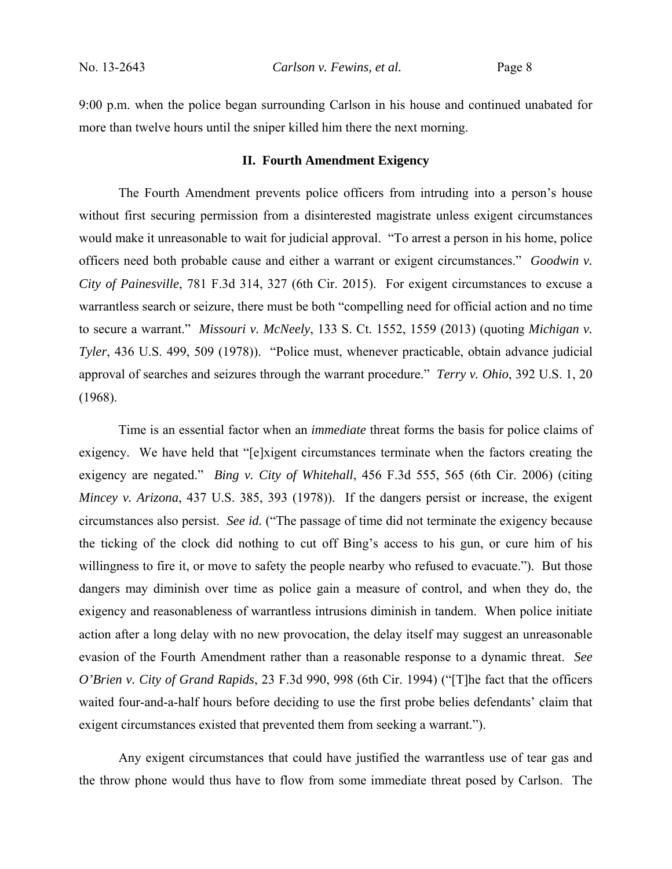9:00 p.m. when the police began surrounding Carlson in his house and continued unabated for more than twelve hours until the sniper killed him there the next morning.

#### **II. Fourth Amendment Exigency**

 The Fourth Amendment prevents police officers from intruding into a person's house without first securing permission from a disinterested magistrate unless exigent circumstances would make it unreasonable to wait for judicial approval. "To arrest a person in his home, police officers need both probable cause and either a warrant or exigent circumstances." *Goodwin v. City of Painesville*, 781 F.3d 314, 327 (6th Cir. 2015). For exigent circumstances to excuse a warrantless search or seizure, there must be both "compelling need for official action and no time to secure a warrant." *Missouri v. McNeely*, 133 S. Ct. 1552, 1559 (2013) (quoting *Michigan v. Tyler*, 436 U.S. 499, 509 (1978)). "Police must, whenever practicable, obtain advance judicial approval of searches and seizures through the warrant procedure." *Terry v. Ohio*, 392 U.S. 1, 20 (1968).

Time is an essential factor when an *immediate* threat forms the basis for police claims of exigency. We have held that "[e]xigent circumstances terminate when the factors creating the exigency are negated." *Bing v. City of Whitehall*, 456 F.3d 555, 565 (6th Cir. 2006) (citing *Mincey v. Arizona*, 437 U.S. 385, 393 (1978)). If the dangers persist or increase, the exigent circumstances also persist. *See id.* ("The passage of time did not terminate the exigency because the ticking of the clock did nothing to cut off Bing's access to his gun, or cure him of his willingness to fire it, or move to safety the people nearby who refused to evacuate."). But those dangers may diminish over time as police gain a measure of control, and when they do, the exigency and reasonableness of warrantless intrusions diminish in tandem. When police initiate action after a long delay with no new provocation, the delay itself may suggest an unreasonable evasion of the Fourth Amendment rather than a reasonable response to a dynamic threat. *See O'Brien v. City of Grand Rapids*, 23 F.3d 990, 998 (6th Cir. 1994) ("[T]he fact that the officers waited four-and-a-half hours before deciding to use the first probe belies defendants' claim that exigent circumstances existed that prevented them from seeking a warrant.").

Any exigent circumstances that could have justified the warrantless use of tear gas and the throw phone would thus have to flow from some immediate threat posed by Carlson. The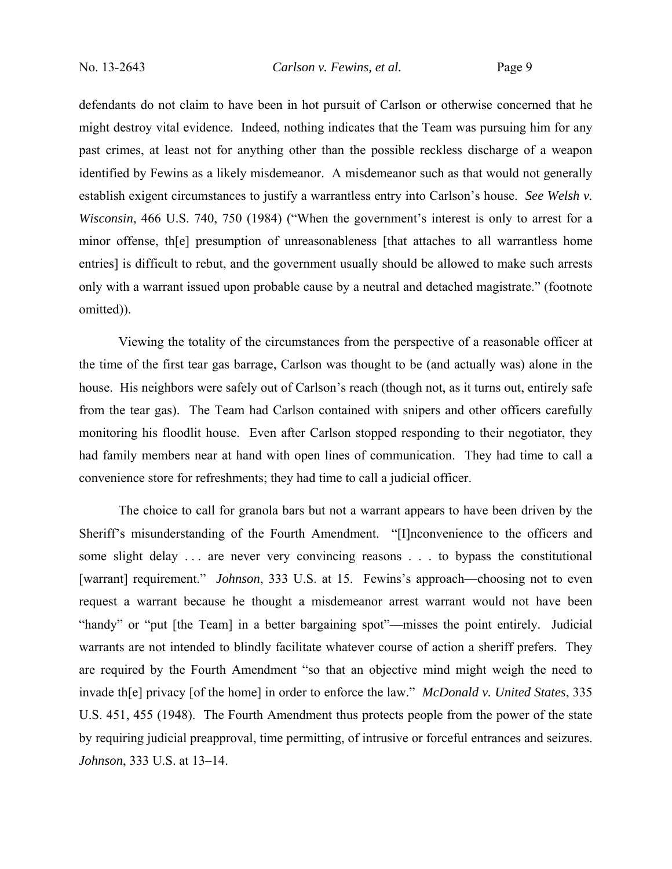defendants do not claim to have been in hot pursuit of Carlson or otherwise concerned that he might destroy vital evidence. Indeed, nothing indicates that the Team was pursuing him for any past crimes, at least not for anything other than the possible reckless discharge of a weapon identified by Fewins as a likely misdemeanor. A misdemeanor such as that would not generally establish exigent circumstances to justify a warrantless entry into Carlson's house. *See Welsh v. Wisconsin*, 466 U.S. 740, 750 (1984) ("When the government's interest is only to arrest for a minor offense, th[e] presumption of unreasonableness [that attaches to all warrantless home entries] is difficult to rebut, and the government usually should be allowed to make such arrests only with a warrant issued upon probable cause by a neutral and detached magistrate." (footnote omitted)).

Viewing the totality of the circumstances from the perspective of a reasonable officer at the time of the first tear gas barrage, Carlson was thought to be (and actually was) alone in the house. His neighbors were safely out of Carlson's reach (though not, as it turns out, entirely safe from the tear gas). The Team had Carlson contained with snipers and other officers carefully monitoring his floodlit house. Even after Carlson stopped responding to their negotiator, they had family members near at hand with open lines of communication. They had time to call a convenience store for refreshments; they had time to call a judicial officer.

The choice to call for granola bars but not a warrant appears to have been driven by the Sheriff's misunderstanding of the Fourth Amendment. "[I]nconvenience to the officers and some slight delay ... are never very convincing reasons ... to bypass the constitutional [warrant] requirement." *Johnson*, 333 U.S. at 15. Fewins's approach—choosing not to even request a warrant because he thought a misdemeanor arrest warrant would not have been "handy" or "put [the Team] in a better bargaining spot"—misses the point entirely. Judicial warrants are not intended to blindly facilitate whatever course of action a sheriff prefers. They are required by the Fourth Amendment "so that an objective mind might weigh the need to invade th[e] privacy [of the home] in order to enforce the law." *McDonald v. United States*, 335 U.S. 451, 455 (1948). The Fourth Amendment thus protects people from the power of the state by requiring judicial preapproval, time permitting, of intrusive or forceful entrances and seizures. *Johnson*, 333 U.S. at 13–14.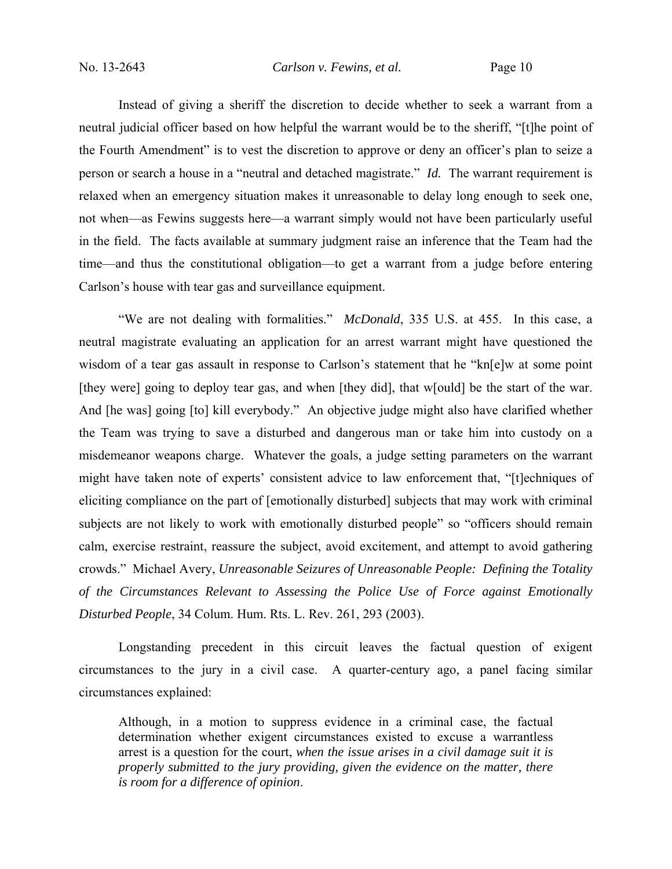Instead of giving a sheriff the discretion to decide whether to seek a warrant from a neutral judicial officer based on how helpful the warrant would be to the sheriff, "[t]he point of the Fourth Amendment" is to vest the discretion to approve or deny an officer's plan to seize a person or search a house in a "neutral and detached magistrate." *Id.* The warrant requirement is relaxed when an emergency situation makes it unreasonable to delay long enough to seek one, not when—as Fewins suggests here—a warrant simply would not have been particularly useful in the field. The facts available at summary judgment raise an inference that the Team had the time—and thus the constitutional obligation—to get a warrant from a judge before entering Carlson's house with tear gas and surveillance equipment.

"We are not dealing with formalities." *McDonald*, 335 U.S. at 455. In this case, a neutral magistrate evaluating an application for an arrest warrant might have questioned the wisdom of a tear gas assault in response to Carlson's statement that he "kn[e]w at some point [they were] going to deploy tear gas, and when [they did], that w[ould] be the start of the war. And [he was] going [to] kill everybody." An objective judge might also have clarified whether the Team was trying to save a disturbed and dangerous man or take him into custody on a misdemeanor weapons charge. Whatever the goals, a judge setting parameters on the warrant might have taken note of experts' consistent advice to law enforcement that, "[t]echniques of eliciting compliance on the part of [emotionally disturbed] subjects that may work with criminal subjects are not likely to work with emotionally disturbed people" so "officers should remain calm, exercise restraint, reassure the subject, avoid excitement, and attempt to avoid gathering crowds." Michael Avery, *Unreasonable Seizures of Unreasonable People: Defining the Totality of the Circumstances Relevant to Assessing the Police Use of Force against Emotionally Disturbed People*, 34 Colum. Hum. Rts. L. Rev. 261, 293 (2003).

Longstanding precedent in this circuit leaves the factual question of exigent circumstances to the jury in a civil case. A quarter-century ago, a panel facing similar circumstances explained:

Although, in a motion to suppress evidence in a criminal case, the factual determination whether exigent circumstances existed to excuse a warrantless arrest is a question for the court, *when the issue arises in a civil damage suit it is properly submitted to the jury providing, given the evidence on the matter, there is room for a difference of opinion*.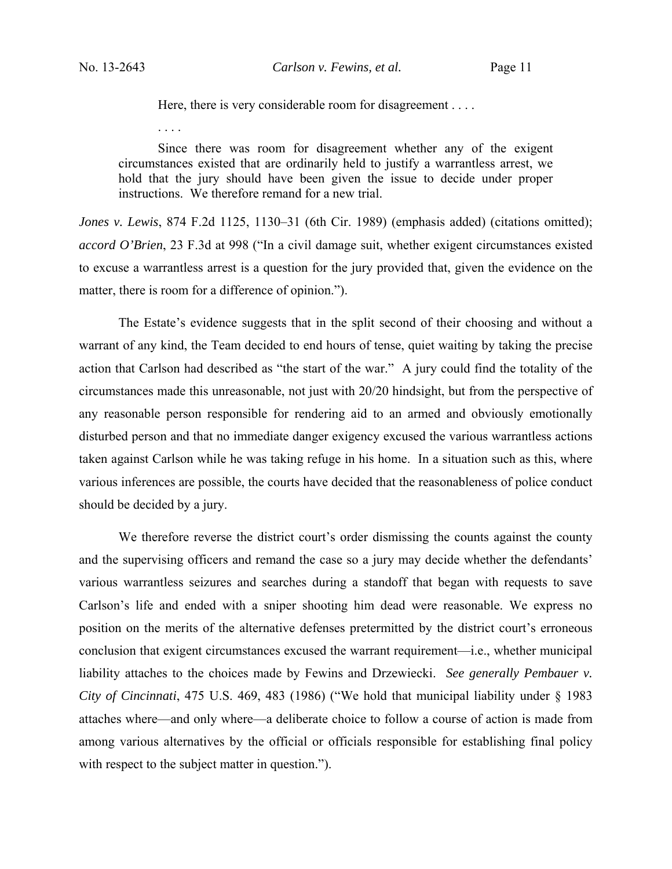. . . .

Here, there is very considerable room for disagreement . . . .

Since there was room for disagreement whether any of the exigent circumstances existed that are ordinarily held to justify a warrantless arrest, we hold that the jury should have been given the issue to decide under proper instructions. We therefore remand for a new trial.

*Jones v. Lewis*, 874 F.2d 1125, 1130–31 (6th Cir. 1989) (emphasis added) (citations omitted); *accord O'Brien*, 23 F.3d at 998 ("In a civil damage suit, whether exigent circumstances existed to excuse a warrantless arrest is a question for the jury provided that, given the evidence on the matter, there is room for a difference of opinion.").

The Estate's evidence suggests that in the split second of their choosing and without a warrant of any kind, the Team decided to end hours of tense, quiet waiting by taking the precise action that Carlson had described as "the start of the war." A jury could find the totality of the circumstances made this unreasonable, not just with 20/20 hindsight, but from the perspective of any reasonable person responsible for rendering aid to an armed and obviously emotionally disturbed person and that no immediate danger exigency excused the various warrantless actions taken against Carlson while he was taking refuge in his home. In a situation such as this, where various inferences are possible, the courts have decided that the reasonableness of police conduct should be decided by a jury.

We therefore reverse the district court's order dismissing the counts against the county and the supervising officers and remand the case so a jury may decide whether the defendants' various warrantless seizures and searches during a standoff that began with requests to save Carlson's life and ended with a sniper shooting him dead were reasonable. We express no position on the merits of the alternative defenses pretermitted by the district court's erroneous conclusion that exigent circumstances excused the warrant requirement—i.e., whether municipal liability attaches to the choices made by Fewins and Drzewiecki. *See generally Pembauer v. City of Cincinnati*, 475 U.S. 469, 483 (1986) ("We hold that municipal liability under § 1983 attaches where—and only where—a deliberate choice to follow a course of action is made from among various alternatives by the official or officials responsible for establishing final policy with respect to the subject matter in question.").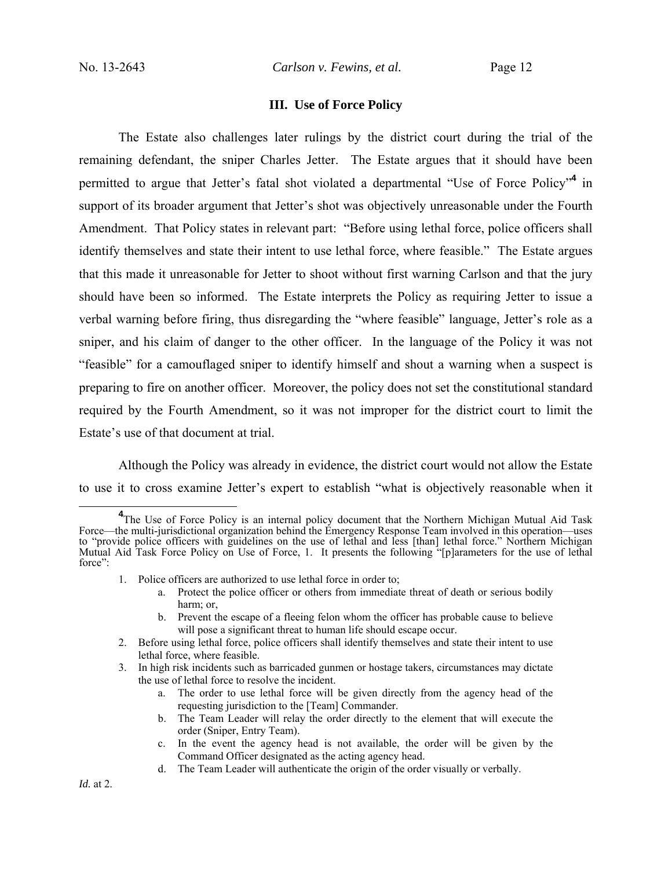### **III. Use of Force Policy**

 The Estate also challenges later rulings by the district court during the trial of the remaining defendant, the sniper Charles Jetter. The Estate argues that it should have been permitted to argue that Jetter's fatal shot violated a departmental "Use of Force Policy"**<sup>4</sup>** in support of its broader argument that Jetter's shot was objectively unreasonable under the Fourth Amendment. That Policy states in relevant part: "Before using lethal force, police officers shall identify themselves and state their intent to use lethal force, where feasible." The Estate argues that this made it unreasonable for Jetter to shoot without first warning Carlson and that the jury should have been so informed. The Estate interprets the Policy as requiring Jetter to issue a verbal warning before firing, thus disregarding the "where feasible" language, Jetter's role as a sniper, and his claim of danger to the other officer. In the language of the Policy it was not "feasible" for a camouflaged sniper to identify himself and shout a warning when a suspect is preparing to fire on another officer. Moreover, the policy does not set the constitutional standard required by the Fourth Amendment, so it was not improper for the district court to limit the Estate's use of that document at trial.

Although the Policy was already in evidence, the district court would not allow the Estate to use it to cross examine Jetter's expert to establish "what is objectively reasonable when it

- 1. Police officers are authorized to use lethal force in order to;
	- a. Protect the police officer or others from immediate threat of death or serious bodily harm; or,
	- b. Prevent the escape of a fleeing felon whom the officer has probable cause to believe will pose a significant threat to human life should escape occur.
- 2. Before using lethal force, police officers shall identify themselves and state their intent to use lethal force, where feasible.
- 3. In high risk incidents such as barricaded gunmen or hostage takers, circumstances may dictate the use of lethal force to resolve the incident.
	- a. The order to use lethal force will be given directly from the agency head of the requesting jurisdiction to the [Team] Commander.
	- b. The Team Leader will relay the order directly to the element that will execute the order (Sniper, Entry Team).
	- c. In the event the agency head is not available, the order will be given by the Command Officer designated as the acting agency head.
	- d. The Team Leader will authenticate the origin of the order visually or verbally.

**<sup>4</sup>** <sup>4</sup>The Use of Force Policy is an internal policy document that the Northern Michigan Mutual Aid Task Force—the multi-jurisdictional organization behind the Emergency Response Team involved in this operation—uses to "provide police officers with guidelines on the use of lethal and less [than] lethal force." Northern Michigan Mutual Aid Task Force Policy on Use of Force, 1. It presents the following "[p]arameters for the use of lethal force":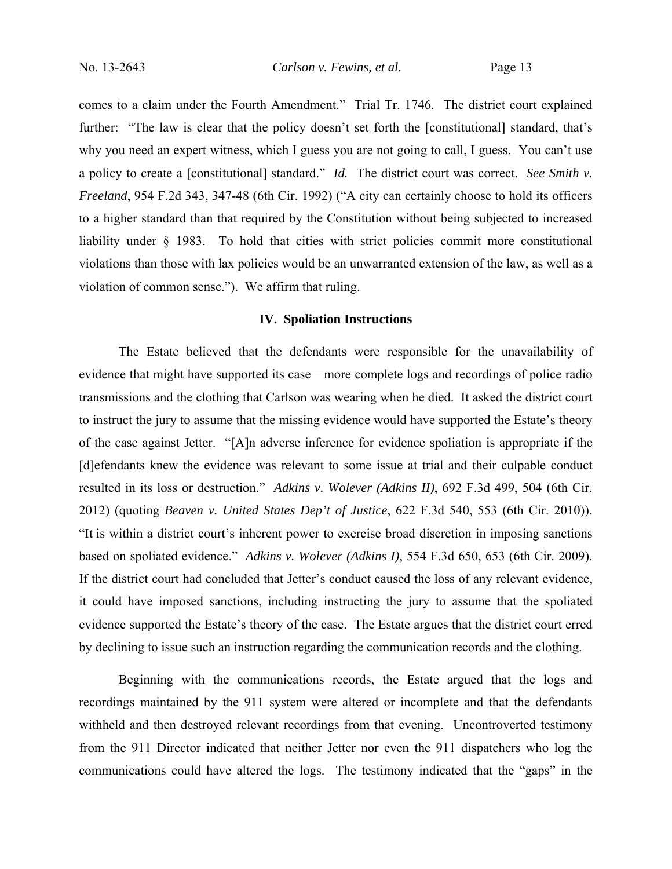comes to a claim under the Fourth Amendment." Trial Tr. 1746. The district court explained further: "The law is clear that the policy doesn't set forth the [constitutional] standard, that's why you need an expert witness, which I guess you are not going to call, I guess. You can't use a policy to create a [constitutional] standard." *Id.* The district court was correct. *See Smith v. Freeland*, 954 F.2d 343, 347-48 (6th Cir. 1992) ("A city can certainly choose to hold its officers to a higher standard than that required by the Constitution without being subjected to increased liability under § 1983. To hold that cities with strict policies commit more constitutional violations than those with lax policies would be an unwarranted extension of the law, as well as a violation of common sense."). We affirm that ruling.

#### **IV. Spoliation Instructions**

The Estate believed that the defendants were responsible for the unavailability of evidence that might have supported its case—more complete logs and recordings of police radio transmissions and the clothing that Carlson was wearing when he died. It asked the district court to instruct the jury to assume that the missing evidence would have supported the Estate's theory of the case against Jetter. "[A]n adverse inference for evidence spoliation is appropriate if the [d]efendants knew the evidence was relevant to some issue at trial and their culpable conduct resulted in its loss or destruction." *Adkins v. Wolever (Adkins II)*, 692 F.3d 499, 504 (6th Cir. 2012) (quoting *Beaven v. United States Dep't of Justice*, 622 F.3d 540, 553 (6th Cir. 2010)). "It is within a district court's inherent power to exercise broad discretion in imposing sanctions based on spoliated evidence." *Adkins v. Wolever (Adkins I)*, 554 F.3d 650, 653 (6th Cir. 2009). If the district court had concluded that Jetter's conduct caused the loss of any relevant evidence, it could have imposed sanctions, including instructing the jury to assume that the spoliated evidence supported the Estate's theory of the case. The Estate argues that the district court erred by declining to issue such an instruction regarding the communication records and the clothing.

Beginning with the communications records, the Estate argued that the logs and recordings maintained by the 911 system were altered or incomplete and that the defendants withheld and then destroyed relevant recordings from that evening. Uncontroverted testimony from the 911 Director indicated that neither Jetter nor even the 911 dispatchers who log the communications could have altered the logs. The testimony indicated that the "gaps" in the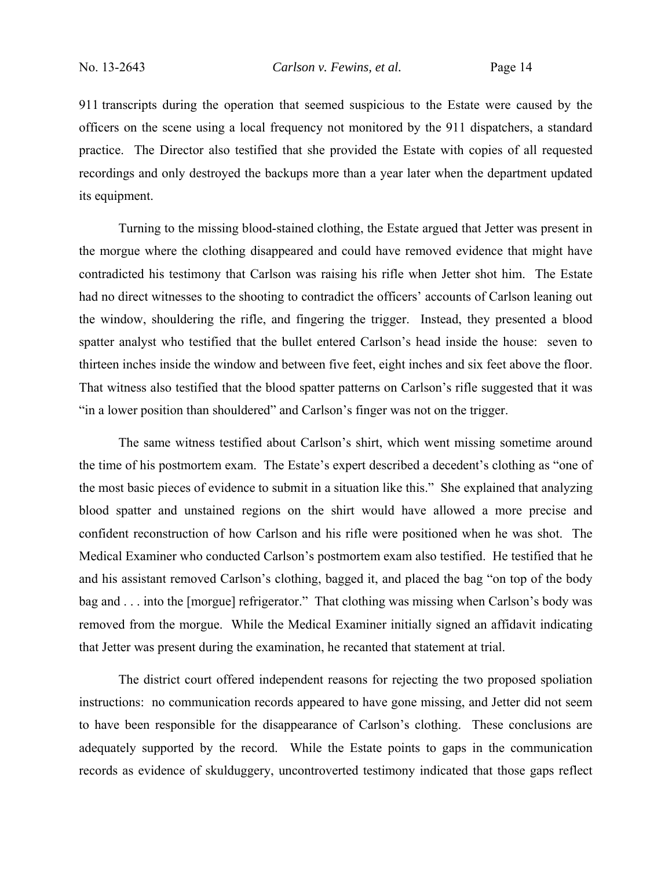911 transcripts during the operation that seemed suspicious to the Estate were caused by the officers on the scene using a local frequency not monitored by the 911 dispatchers, a standard practice. The Director also testified that she provided the Estate with copies of all requested recordings and only destroyed the backups more than a year later when the department updated its equipment.

 Turning to the missing blood-stained clothing, the Estate argued that Jetter was present in the morgue where the clothing disappeared and could have removed evidence that might have contradicted his testimony that Carlson was raising his rifle when Jetter shot him. The Estate had no direct witnesses to the shooting to contradict the officers' accounts of Carlson leaning out the window, shouldering the rifle, and fingering the trigger. Instead, they presented a blood spatter analyst who testified that the bullet entered Carlson's head inside the house: seven to thirteen inches inside the window and between five feet, eight inches and six feet above the floor. That witness also testified that the blood spatter patterns on Carlson's rifle suggested that it was "in a lower position than shouldered" and Carlson's finger was not on the trigger.

The same witness testified about Carlson's shirt, which went missing sometime around the time of his postmortem exam. The Estate's expert described a decedent's clothing as "one of the most basic pieces of evidence to submit in a situation like this." She explained that analyzing blood spatter and unstained regions on the shirt would have allowed a more precise and confident reconstruction of how Carlson and his rifle were positioned when he was shot. The Medical Examiner who conducted Carlson's postmortem exam also testified. He testified that he and his assistant removed Carlson's clothing, bagged it, and placed the bag "on top of the body bag and . . . into the [morgue] refrigerator." That clothing was missing when Carlson's body was removed from the morgue. While the Medical Examiner initially signed an affidavit indicating that Jetter was present during the examination, he recanted that statement at trial.

 The district court offered independent reasons for rejecting the two proposed spoliation instructions: no communication records appeared to have gone missing, and Jetter did not seem to have been responsible for the disappearance of Carlson's clothing. These conclusions are adequately supported by the record. While the Estate points to gaps in the communication records as evidence of skulduggery, uncontroverted testimony indicated that those gaps reflect